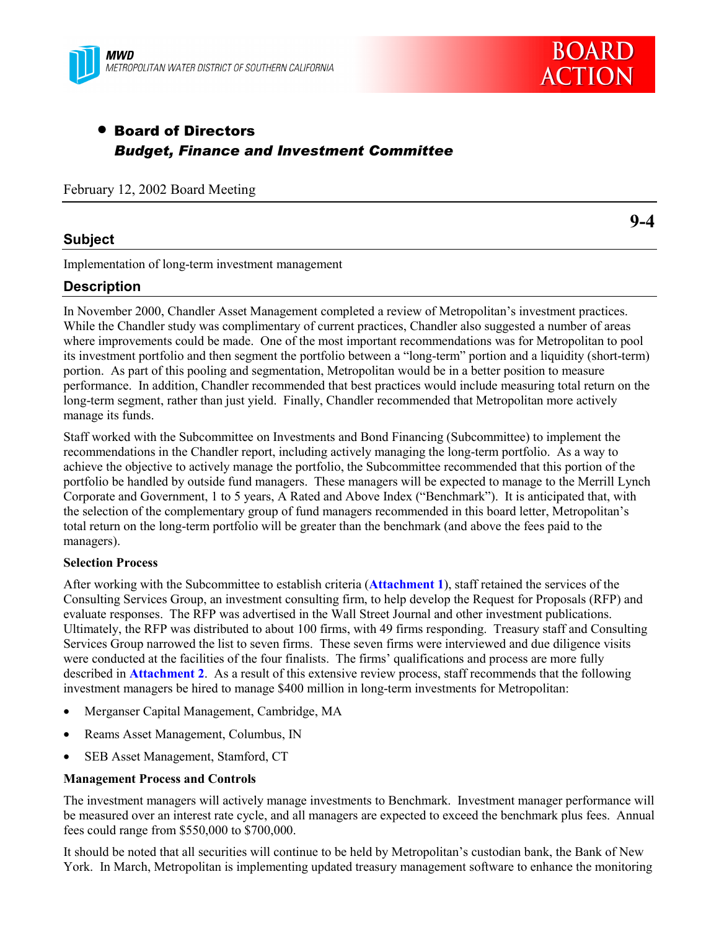



**9-4**

# • Board of Directors *Budget, Finance and Investment Committee*

February 12, 2002 Board Meeting

## **Subject**

Implementation of long-term investment management

## **Description**

In November 2000, Chandler Asset Management completed a review of Metropolitan's investment practices. While the Chandler study was complimentary of current practices, Chandler also suggested a number of areas where improvements could be made. One of the most important recommendations was for Metropolitan to pool its investment portfolio and then segment the portfolio between a "long-term" portion and a liquidity (short-term) portion. As part of this pooling and segmentation, Metropolitan would be in a better position to measure performance. In addition, Chandler recommended that best practices would include measuring total return on the long-term segment, rather than just yield. Finally, Chandler recommended that Metropolitan more actively manage its funds.

Staff worked with the Subcommittee on Investments and Bond Financing (Subcommittee) to implement the recommendations in the Chandler report, including actively managing the long-term portfolio. As a way to achieve the objective to actively manage the portfolio, the Subcommittee recommended that this portion of the portfolio be handled by outside fund managers. These managers will be expected to manage to the Merrill Lynch Corporate and Government, 1 to 5 years, A Rated and Above Index ("Benchmark"). It is anticipated that, with the selection of the complementary group of fund managers recommended in this board letter, Metropolitan's total return on the long-term portfolio will be greater than the benchmark (and above the fees paid to the managers).

#### **Selection Process**

After working with the Subcommittee to establish criteria (**Attachment 1**), staff retained the services of the Consulting Services Group, an investment consulting firm, to help develop the Request for Proposals (RFP) and evaluate responses. The RFP was advertised in the Wall Street Journal and other investment publications. Ultimately, the RFP was distributed to about 100 firms, with 49 firms responding. Treasury staff and Consulting Services Group narrowed the list to seven firms. These seven firms were interviewed and due diligence visits were conducted at the facilities of the four finalists. The firms' qualifications and process are more fully described in **Attachment 2**. As a result of this extensive review process, staff recommends that the following investment managers be hired to manage \$400 million in long-term investments for Metropolitan:

- Merganser Capital Management, Cambridge, MA
- Reams Asset Management, Columbus, IN
- SEB Asset Management, Stamford, CT

### **Management Process and Controls**

The investment managers will actively manage investments to Benchmark. Investment manager performance will be measured over an interest rate cycle, and all managers are expected to exceed the benchmark plus fees. Annual fees could range from \$550,000 to \$700,000.

It should be noted that all securities will continue to be held by Metropolitan's custodian bank, the Bank of New York. In March, Metropolitan is implementing updated treasury management software to enhance the monitoring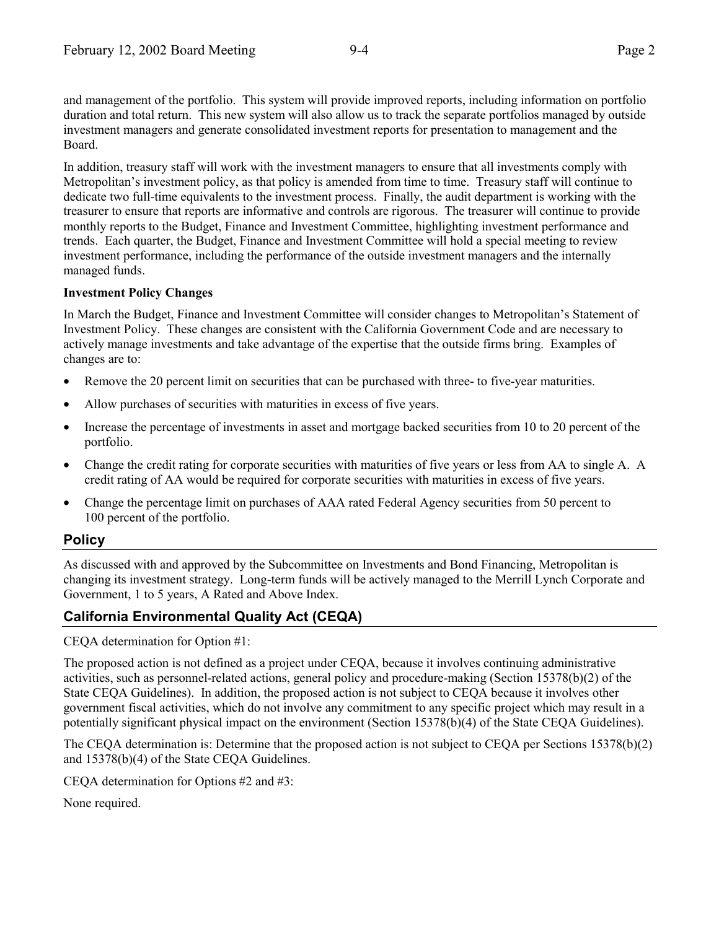and management of the portfolio. This system will provide improved reports, including information on portfolio duration and total return. This new system will also allow us to track the separate portfolios managed by outside investment managers and generate consolidated investment reports for presentation to management and the Board.

In addition, treasury staff will work with the investment managers to ensure that all investments comply with Metropolitan's investment policy, as that policy is amended from time to time. Treasury staff will continue to dedicate two full-time equivalents to the investment process. Finally, the audit department is working with the treasurer to ensure that reports are informative and controls are rigorous. The treasurer will continue to provide monthly reports to the Budget, Finance and Investment Committee, highlighting investment performance and trends. Each quarter, the Budget, Finance and Investment Committee will hold a special meeting to review investment performance, including the performance of the outside investment managers and the internally managed funds.

#### **Investment Policy Changes**

In March the Budget, Finance and Investment Committee will consider changes to Metropolitan's Statement of Investment Policy. These changes are consistent with the California Government Code and are necessary to actively manage investments and take advantage of the expertise that the outside firms bring. Examples of changes are to:

- Remove the 20 percent limit on securities that can be purchased with three- to five-year maturities.
- Allow purchases of securities with maturities in excess of five years.
- Increase the percentage of investments in asset and mortgage backed securities from 10 to 20 percent of the portfolio.
- Change the credit rating for corporate securities with maturities of five years or less from AA to single A. A credit rating of AA would be required for corporate securities with maturities in excess of five years.
- Change the percentage limit on purchases of AAA rated Federal Agency securities from 50 percent to 100 percent of the portfolio.

## **Policy**

As discussed with and approved by the Subcommittee on Investments and Bond Financing, Metropolitan is changing its investment strategy. Long-term funds will be actively managed to the Merrill Lynch Corporate and Government, 1 to 5 years, A Rated and Above Index.

## **California Environmental Quality Act (CEQA)**

CEQA determination for Option #1:

The proposed action is not defined as a project under CEQA, because it involves continuing administrative activities, such as personnel-related actions, general policy and procedure-making (Section 15378(b)(2) of the State CEQA Guidelines). In addition, the proposed action is not subject to CEQA because it involves other government fiscal activities, which do not involve any commitment to any specific project which may result in a potentially significant physical impact on the environment (Section 15378(b)(4) of the State CEQA Guidelines).

The CEQA determination is: Determine that the proposed action is not subject to CEQA per Sections 15378(b)(2) and 15378(b)(4) of the State CEQA Guidelines.

CEQA determination for Options #2 and #3:

None required.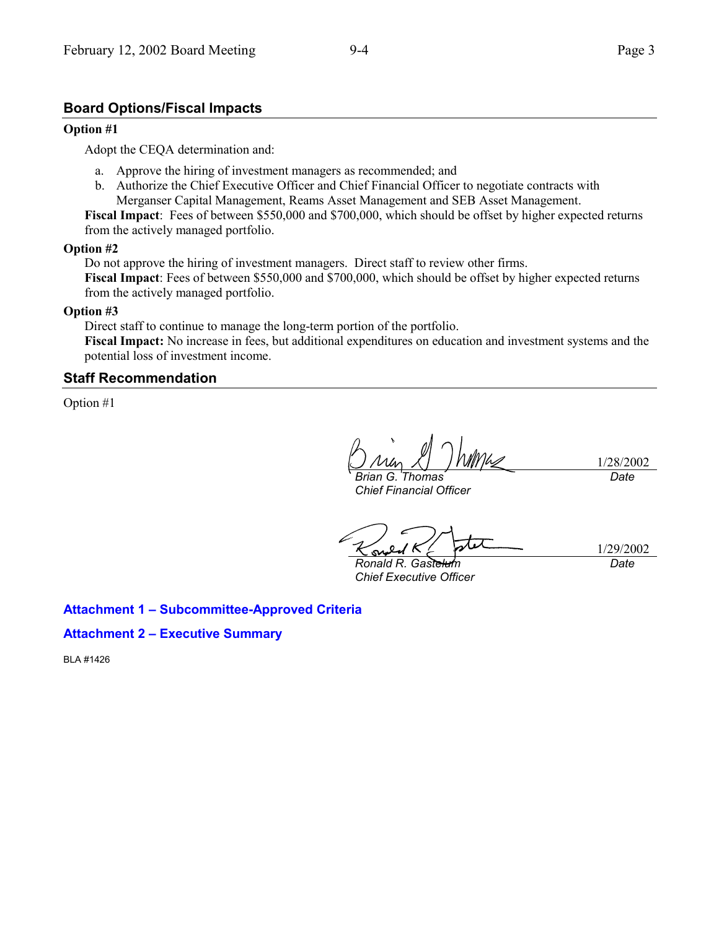## **Board Options/Fiscal Impacts**

#### **Option #1**

Adopt the CEQA determination and:

- a. Approve the hiring of investment managers as recommended; and
- b. Authorize the Chief Executive Officer and Chief Financial Officer to negotiate contracts with Merganser Capital Management, Reams Asset Management and SEB Asset Management.

**Fiscal Impact**: Fees of between \$550,000 and \$700,000, which should be offset by higher expected returns from the actively managed portfolio.

#### **Option #2**

Do not approve the hiring of investment managers. Direct staff to review other firms. **Fiscal Impact**: Fees of between \$550,000 and \$700,000, which should be offset by higher expected returns from the actively managed portfolio.

#### **Option #3**

Direct staff to continue to manage the long-term portion of the portfolio. **Fiscal Impact:** No increase in fees, but additional expenditures on education and investment systems and the potential loss of investment income.

#### **Staff Recommendation**

Option #1

*Brian G. Thomas Chief Financial Officer*

1/28/2002

*Date*

*Ronald R. Gastelum Chief Executive Officer*

 $\sim$ 

1/29/2002 *Date*

## **Attachment 1 – Subcommittee-Approved Criteria**

### **Attachment 2 – Executive Summary**

BLA #1426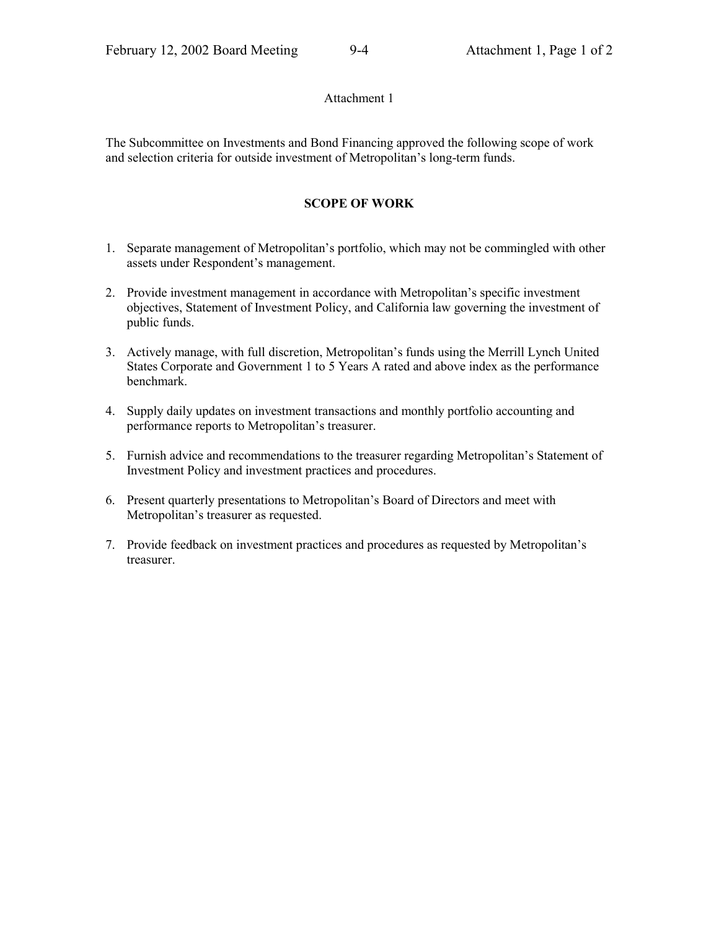#### Attachment 1

The Subcommittee on Investments and Bond Financing approved the following scope of work and selection criteria for outside investment of Metropolitan's long-term funds.

## **SCOPE OF WORK**

- 1. Separate management of Metropolitan's portfolio, which may not be commingled with other assets under Respondent's management.
- 2. Provide investment management in accordance with Metropolitan's specific investment objectives, Statement of Investment Policy, and California law governing the investment of public funds.
- 3. Actively manage, with full discretion, Metropolitan's funds using the Merrill Lynch United States Corporate and Government 1 to 5 Years A rated and above index as the performance benchmark.
- 4. Supply daily updates on investment transactions and monthly portfolio accounting and performance reports to Metropolitan's treasurer.
- 5. Furnish advice and recommendations to the treasurer regarding Metropolitan's Statement of Investment Policy and investment practices and procedures.
- 6. Present quarterly presentations to Metropolitan's Board of Directors and meet with Metropolitan's treasurer as requested.
- 7. Provide feedback on investment practices and procedures as requested by Metropolitan's treasurer.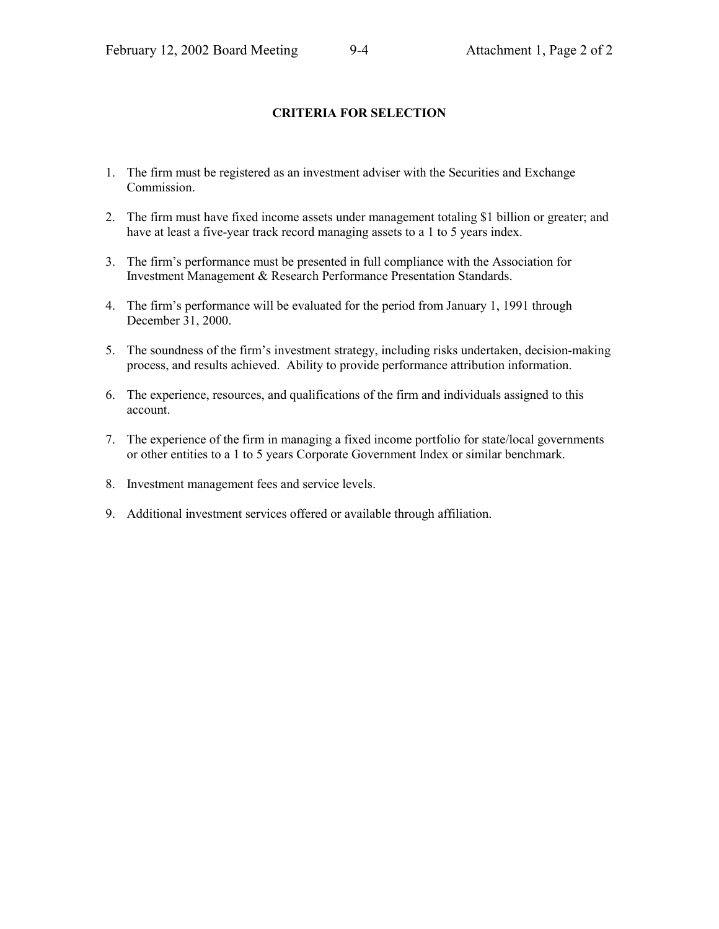## **CRITERIA FOR SELECTION**

- 1. The firm must be registered as an investment adviser with the Securities and Exchange Commission.
- 2. The firm must have fixed income assets under management totaling \$1 billion or greater; and have at least a five-year track record managing assets to a 1 to 5 years index.
- 3. The firm's performance must be presented in full compliance with the Association for Investment Management & Research Performance Presentation Standards.
- 4. The firm's performance will be evaluated for the period from January 1, 1991 through December 31, 2000.
- 5. The soundness of the firm's investment strategy, including risks undertaken, decision-making process, and results achieved. Ability to provide performance attribution information.
- 6. The experience, resources, and qualifications of the firm and individuals assigned to this account.
- 7. The experience of the firm in managing a fixed income portfolio for state/local governments or other entities to a 1 to 5 years Corporate Government Index or similar benchmark.
- 8. Investment management fees and service levels.
- 9. Additional investment services offered or available through affiliation.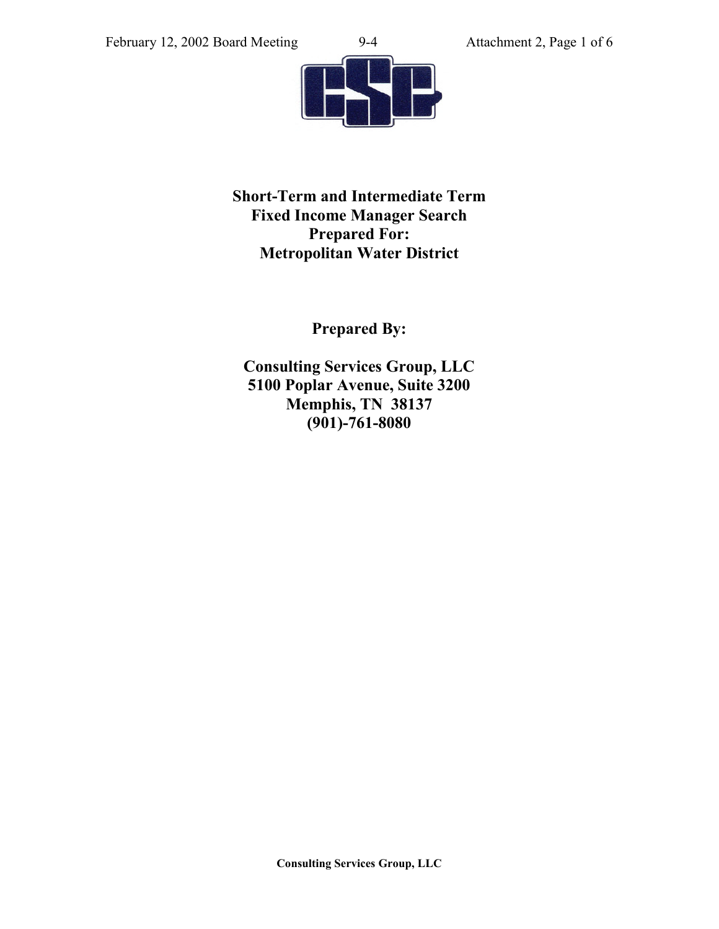

**Short-Term and Intermediate Term Fixed Income Manager Search Prepared For: Metropolitan Water District**

**Prepared By:**

**Consulting Services Group, LLC 5100 Poplar Avenue, Suite 3200 Memphis, TN 38137 (901)-761-8080**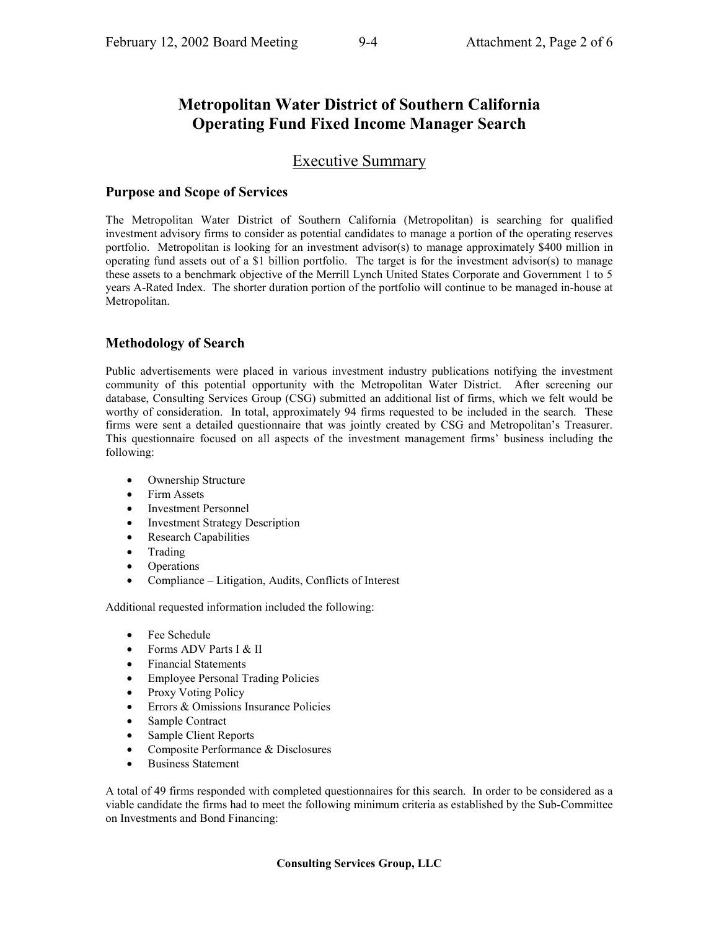# **Metropolitan Water District of Southern California Operating Fund Fixed Income Manager Search**

# Executive Summary

## **Purpose and Scope of Services**

The Metropolitan Water District of Southern California (Metropolitan) is searching for qualified investment advisory firms to consider as potential candidates to manage a portion of the operating reserves portfolio. Metropolitan is looking for an investment advisor(s) to manage approximately \$400 million in operating fund assets out of a \$1 billion portfolio. The target is for the investment advisor(s) to manage these assets to a benchmark objective of the Merrill Lynch United States Corporate and Government 1 to 5 years A-Rated Index. The shorter duration portion of the portfolio will continue to be managed in-house at Metropolitan.

## **Methodology of Search**

Public advertisements were placed in various investment industry publications notifying the investment community of this potential opportunity with the Metropolitan Water District. After screening our database, Consulting Services Group (CSG) submitted an additional list of firms, which we felt would be worthy of consideration. In total, approximately 94 firms requested to be included in the search. These firms were sent a detailed questionnaire that was jointly created by CSG and Metropolitan's Treasurer. This questionnaire focused on all aspects of the investment management firms' business including the following:

- Ownership Structure
- Firm Assets
- Investment Personnel
- **Investment Strategy Description**
- Research Capabilities
- Trading
- Operations
- Compliance Litigation, Audits, Conflicts of Interest

Additional requested information included the following:

- Fee Schedule
- Forms ADV Parts I & II
- Financial Statements
- Employee Personal Trading Policies
- Proxy Voting Policy
- Errors & Omissions Insurance Policies
- Sample Contract
- Sample Client Reports
- Composite Performance & Disclosures
- Business Statement

A total of 49 firms responded with completed questionnaires for this search. In order to be considered as a viable candidate the firms had to meet the following minimum criteria as established by the Sub-Committee on Investments and Bond Financing: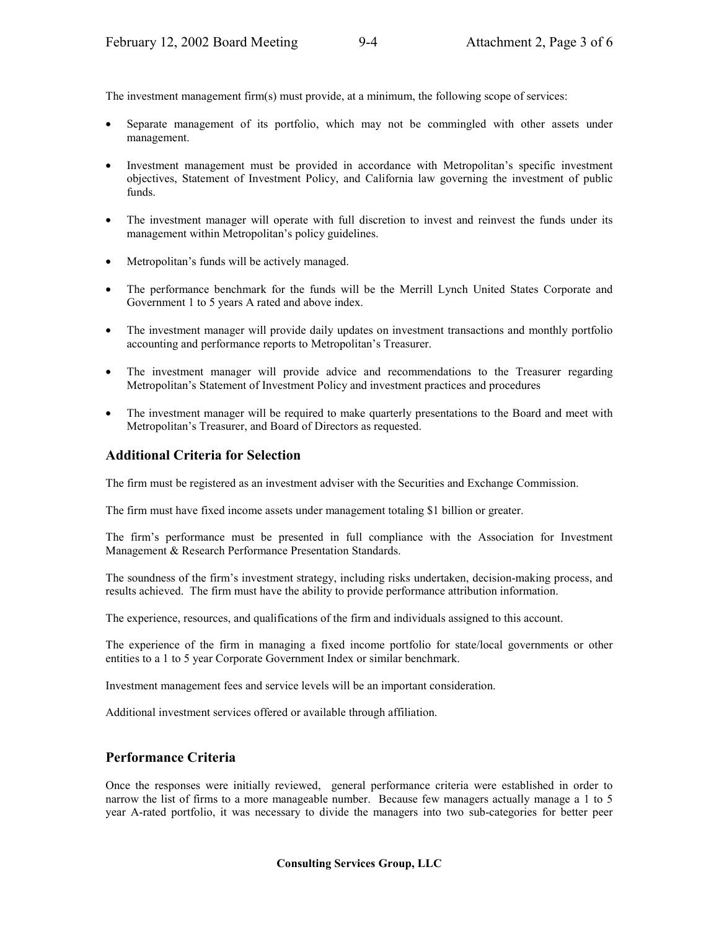The investment management firm(s) must provide, at a minimum, the following scope of services:

- Separate management of its portfolio, which may not be commingled with other assets under management.
- Investment management must be provided in accordance with Metropolitan's specific investment objectives, Statement of Investment Policy, and California law governing the investment of public funds.
- The investment manager will operate with full discretion to invest and reinvest the funds under its management within Metropolitan's policy guidelines.
- Metropolitan's funds will be actively managed.
- The performance benchmark for the funds will be the Merrill Lynch United States Corporate and Government 1 to 5 years A rated and above index.
- The investment manager will provide daily updates on investment transactions and monthly portfolio accounting and performance reports to Metropolitan's Treasurer.
- The investment manager will provide advice and recommendations to the Treasurer regarding Metropolitan's Statement of Investment Policy and investment practices and procedures
- The investment manager will be required to make quarterly presentations to the Board and meet with Metropolitan's Treasurer, and Board of Directors as requested.

#### **Additional Criteria for Selection**

The firm must be registered as an investment adviser with the Securities and Exchange Commission.

The firm must have fixed income assets under management totaling \$1 billion or greater.

The firm's performance must be presented in full compliance with the Association for Investment Management & Research Performance Presentation Standards.

The soundness of the firm's investment strategy, including risks undertaken, decision-making process, and results achieved. The firm must have the ability to provide performance attribution information.

The experience, resources, and qualifications of the firm and individuals assigned to this account.

The experience of the firm in managing a fixed income portfolio for state/local governments or other entities to a 1 to 5 year Corporate Government Index or similar benchmark.

Investment management fees and service levels will be an important consideration.

Additional investment services offered or available through affiliation.

#### **Performance Criteria**

Once the responses were initially reviewed, general performance criteria were established in order to narrow the list of firms to a more manageable number. Because few managers actually manage a 1 to 5 year A-rated portfolio, it was necessary to divide the managers into two sub-categories for better peer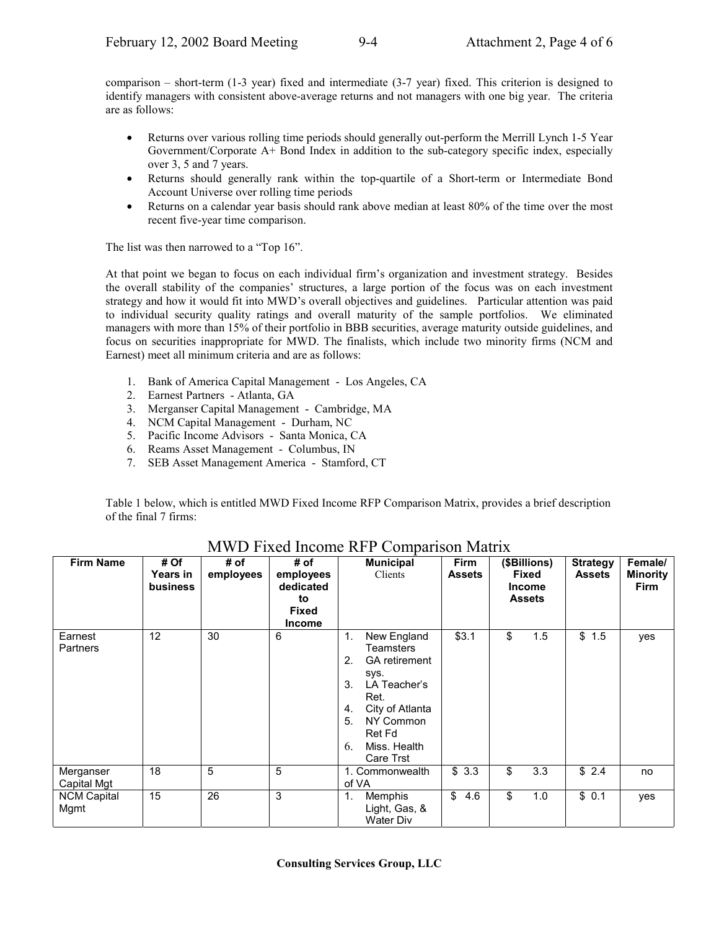comparison – short-term (1-3 year) fixed and intermediate (3-7 year) fixed. This criterion is designed to identify managers with consistent above-average returns and not managers with one big year. The criteria are as follows:

- Returns over various rolling time periods should generally out-perform the Merrill Lynch 1-5 Year Government/Corporate A+ Bond Index in addition to the sub-category specific index, especially over 3, 5 and 7 years.
- Returns should generally rank within the top-quartile of a Short-term or Intermediate Bond Account Universe over rolling time periods
- Returns on a calendar year basis should rank above median at least 80% of the time over the most recent five-year time comparison.

The list was then narrowed to a "Top 16".

At that point we began to focus on each individual firm's organization and investment strategy. Besides the overall stability of the companies' structures, a large portion of the focus was on each investment strategy and how it would fit into MWD's overall objectives and guidelines. Particular attention was paid to individual security quality ratings and overall maturity of the sample portfolios. We eliminated managers with more than 15% of their portfolio in BBB securities, average maturity outside guidelines, and focus on securities inappropriate for MWD. The finalists, which include two minority firms (NCM and Earnest) meet all minimum criteria and are as follows:

- 1. Bank of America Capital Management Los Angeles, CA
- 2. Earnest Partners Atlanta, GA
- 3. Merganser Capital Management Cambridge, MA
- 4. NCM Capital Management Durham, NC
- 5. Pacific Income Advisors Santa Monica, CA
- 6. Reams Asset Management Columbus, IN
- 7. SEB Asset Management America Stamford, CT

Table 1 below, which is entitled MWD Fixed Income RFP Comparison Matrix, provides a brief description of the final 7 firms:

| <b>Firm Name</b>           | # Of<br>Years in<br><b>business</b> | # of<br>employees | # of<br>employees<br>dedicated<br>to<br><b>Fixed</b><br><b>Income</b> | <b>Municipal</b><br>Clients                                                                                                                                                                 | <b>Firm</b><br><b>Assets</b> | (\$Billions)<br><b>Fixed</b><br><b>Income</b><br><b>Assets</b> |     | <b>Strategy</b><br><b>Assets</b> | Female/<br>Minority<br><b>Firm</b> |
|----------------------------|-------------------------------------|-------------------|-----------------------------------------------------------------------|---------------------------------------------------------------------------------------------------------------------------------------------------------------------------------------------|------------------------------|----------------------------------------------------------------|-----|----------------------------------|------------------------------------|
| Earnest<br>Partners        | 12                                  | 30                | 6                                                                     | New England<br>1.<br>Teamsters<br>2.<br><b>GA</b> retirement<br>sys.<br>3.<br>LA Teacher's<br>Ret.<br>City of Atlanta<br>4.<br>NY Common<br>5.<br>Ret Fd<br>Miss. Health<br>6.<br>Care Trst | \$3.1                        | \$                                                             | 1.5 | \$1.5                            | yes                                |
| Merganser<br>Capital Mgt   | 18                                  | 5                 | 5                                                                     | 1. Commonwealth<br>of VA                                                                                                                                                                    | \$3.3                        | \$                                                             | 3.3 | \$2.4                            | no                                 |
| <b>NCM Capital</b><br>Mgmt | 15                                  | 26                | 3                                                                     | 1.<br>Memphis<br>Light, Gas, &<br><b>Water Div</b>                                                                                                                                          | \$<br>4.6                    | \$                                                             | 1.0 | \$0.1                            | yes                                |

## MWD Fixed Income RFP Comparison Matrix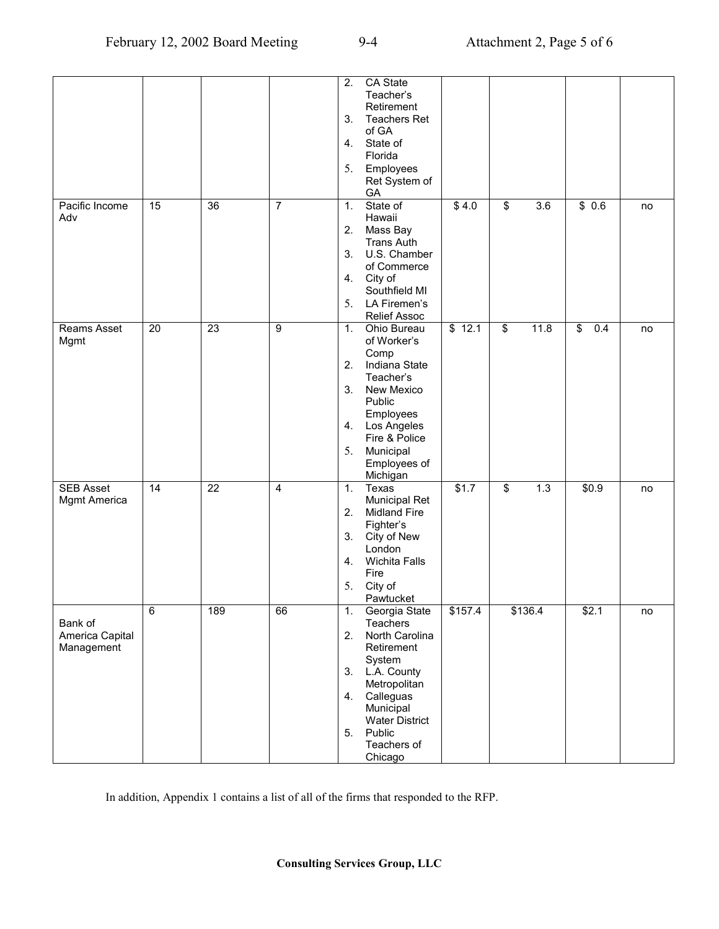|                  |    |                 |                | 2.             | CA State              |               |                          |         |           |    |
|------------------|----|-----------------|----------------|----------------|-----------------------|---------------|--------------------------|---------|-----------|----|
|                  |    |                 |                |                | Teacher's             |               |                          |         |           |    |
|                  |    |                 |                |                | Retirement            |               |                          |         |           |    |
|                  |    |                 |                | 3.             | <b>Teachers Ret</b>   |               |                          |         |           |    |
|                  |    |                 |                |                | of GA                 |               |                          |         |           |    |
|                  |    |                 |                | 4.             | State of              |               |                          |         |           |    |
|                  |    |                 |                |                | Florida               |               |                          |         |           |    |
|                  |    |                 |                |                |                       |               |                          |         |           |    |
|                  |    |                 |                | 5.             | Employees             |               |                          |         |           |    |
|                  |    |                 |                |                | Ret System of         |               |                          |         |           |    |
|                  |    |                 |                |                | GA                    |               |                          |         |           |    |
| Pacific Income   | 15 | 36              | $\overline{7}$ | 1.             | State of              | \$4.0         | \$                       | 3.6     | \$0.6     | no |
| Adv              |    |                 |                |                | Hawaii                |               |                          |         |           |    |
|                  |    |                 |                | 2.             | Mass Bay              |               |                          |         |           |    |
|                  |    |                 |                |                | <b>Trans Auth</b>     |               |                          |         |           |    |
|                  |    |                 |                | 3.             | U.S. Chamber          |               |                          |         |           |    |
|                  |    |                 |                |                | of Commerce           |               |                          |         |           |    |
|                  |    |                 |                |                | 4. City of            |               |                          |         |           |    |
|                  |    |                 |                |                | Southfield MI         |               |                          |         |           |    |
|                  |    |                 |                |                |                       |               |                          |         |           |    |
|                  |    |                 |                | 5.             | LA Firemen's          |               |                          |         |           |    |
|                  |    |                 |                |                | Relief Assoc          |               |                          |         |           |    |
| Reams Asset      | 20 | 23              | 9              | 1 <sub>1</sub> | Ohio Bureau           | \$12.1        | $\overline{\mathcal{S}}$ | 11.8    | \$<br>0.4 | no |
| Mgmt             |    |                 |                |                | of Worker's           |               |                          |         |           |    |
|                  |    |                 |                |                | Comp                  |               |                          |         |           |    |
|                  |    |                 |                | 2.             | Indiana State         |               |                          |         |           |    |
|                  |    |                 |                |                | Teacher's             |               |                          |         |           |    |
|                  |    |                 |                | 3.             | New Mexico            |               |                          |         |           |    |
|                  |    |                 |                |                | Public                |               |                          |         |           |    |
|                  |    |                 |                |                |                       |               |                          |         |           |    |
|                  |    |                 |                |                | Employees             |               |                          |         |           |    |
|                  |    |                 |                |                | 4. Los Angeles        |               |                          |         |           |    |
|                  |    |                 |                |                | Fire & Police         |               |                          |         |           |    |
|                  |    |                 |                | 5.             | Municipal             |               |                          |         |           |    |
|                  |    |                 |                |                | Employees of          |               |                          |         |           |    |
|                  |    |                 |                |                | Michigan              |               |                          |         |           |    |
| <b>SEB Asset</b> | 14 | $\overline{22}$ | $\overline{4}$ | 1.             | <b>Texas</b>          | $\sqrt{$1.7}$ | \$                       | 1.3     | \$0.9     | no |
| Mgmt America     |    |                 |                |                | Municipal Ret         |               |                          |         |           |    |
|                  |    |                 |                | 2.             | <b>Midland Fire</b>   |               |                          |         |           |    |
|                  |    |                 |                |                | Fighter's             |               |                          |         |           |    |
|                  |    |                 |                | 3.             | City of New           |               |                          |         |           |    |
|                  |    |                 |                |                | London                |               |                          |         |           |    |
|                  |    |                 |                |                |                       |               |                          |         |           |    |
|                  |    |                 |                | 4.             | <b>Wichita Falls</b>  |               |                          |         |           |    |
|                  |    |                 |                |                | Fire                  |               |                          |         |           |    |
|                  |    |                 |                | 5.             | City of               |               |                          |         |           |    |
|                  |    |                 |                |                | Pawtucket             |               |                          |         |           |    |
|                  | 6  | 189             | 66             | 1.             | Georgia State         | \$157.4       |                          | \$136.4 | \$2.1     | no |
| Bank of          |    |                 |                |                | Teachers              |               |                          |         |           |    |
| America Capital  |    |                 |                | 2.             | North Carolina        |               |                          |         |           |    |
| Management       |    |                 |                |                | Retirement            |               |                          |         |           |    |
|                  |    |                 |                |                | System                |               |                          |         |           |    |
|                  |    |                 |                |                | 3. L.A. County        |               |                          |         |           |    |
|                  |    |                 |                |                | Metropolitan          |               |                          |         |           |    |
|                  |    |                 |                | 4.             | Calleguas             |               |                          |         |           |    |
|                  |    |                 |                |                |                       |               |                          |         |           |    |
|                  |    |                 |                |                | Municipal             |               |                          |         |           |    |
|                  |    |                 |                |                | <b>Water District</b> |               |                          |         |           |    |
|                  |    |                 |                | 5.             | Public                |               |                          |         |           |    |
|                  |    |                 |                |                | Teachers of           |               |                          |         |           |    |
|                  |    |                 |                |                | Chicago               |               |                          |         |           |    |

In addition, Appendix 1 contains a list of all of the firms that responded to the RFP.